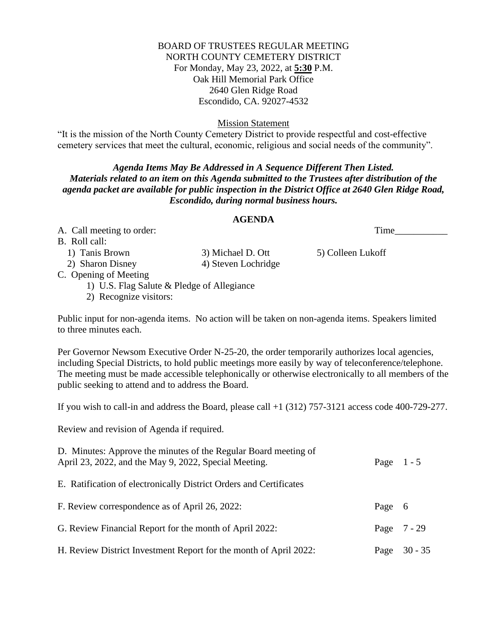### BOARD OF TRUSTEES REGULAR MEETING NORTH COUNTY CEMETERY DISTRICT For Monday, May 23, 2022, at **5:30** P.M. Oak Hill Memorial Park Office 2640 Glen Ridge Road Escondido, CA. 92027-4532

Mission Statement

"It is the mission of the North County Cemetery District to provide respectful and cost-effective cemetery services that meet the cultural, economic, religious and social needs of the community".

## *Agenda Items May Be Addressed in A Sequence Different Then Listed. Materials related to an item on this Agenda submitted to the Trustees after distribution of the agenda packet are available for public inspection in the District Office at 2640 Glen Ridge Road, Escondido, during normal business hours.*

#### **AGENDA**

A. Call meeting to order: Time\_\_\_\_\_\_\_\_\_\_\_

B. Roll call:

1) Tanis Brown 3) Michael D. Ott 5) Colleen Lukoff

2) Sharon Disney 4) Steven Lochridge

C. Opening of Meeting

1) U.S. Flag Salute & Pledge of Allegiance

2) Recognize visitors:

Public input for non-agenda items. No action will be taken on non-agenda items. Speakers limited to three minutes each.

Per Governor Newsom Executive Order N-25-20, the order temporarily authorizes local agencies, including Special Districts, to hold public meetings more easily by way of teleconference/telephone. The meeting must be made accessible telephonically or otherwise electronically to all members of the public seeking to attend and to address the Board.

If you wish to call-in and address the Board, please call  $+1$  (312) 757-3121 access code 400-729-277.

Review and revision of Agenda if required.

| D. Minutes: Approve the minutes of the Regular Board meeting of<br>April 23, 2022, and the May 9, 2022, Special Meeting. | Page $1 - 5$ |                |
|--------------------------------------------------------------------------------------------------------------------------|--------------|----------------|
| E. Ratification of electronically District Orders and Certificates                                                       |              |                |
| F. Review correspondence as of April 26, 2022:                                                                           | Page 6       |                |
| G. Review Financial Report for the month of April 2022:                                                                  |              | Page $7 - 29$  |
| H. Review District Investment Report for the month of April 2022:                                                        |              | Page $30 - 35$ |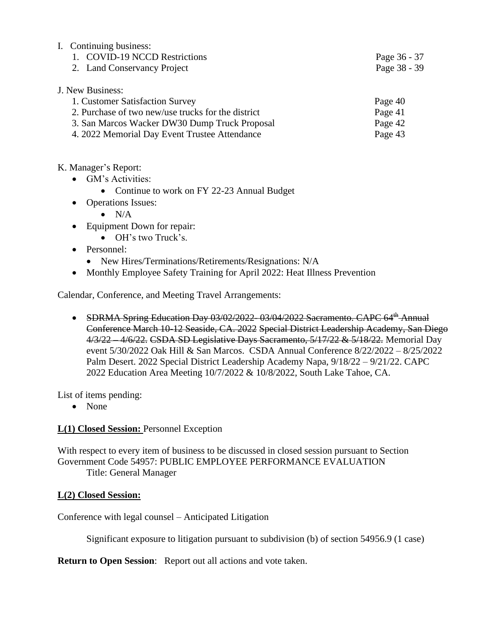| I. Continuing business:                            |              |
|----------------------------------------------------|--------------|
| 1. COVID-19 NCCD Restrictions                      | Page 36 - 37 |
| 2. Land Conservancy Project                        | Page 38 - 39 |
| J. New Business:                                   |              |
| 1. Customer Satisfaction Survey                    | Page 40      |
| 2. Purchase of two new/use trucks for the district | Page 41      |
| 3. San Marcos Wacker DW30 Dump Truck Proposal      | Page 42      |
| 4. 2022 Memorial Day Event Trustee Attendance      | Page 43      |
|                                                    |              |

### K. Manager's Report:

- GM's Activities:
	- Continue to work on FY 22-23 Annual Budget
- Operations Issues:
	- $\bullet$  N/A
- Equipment Down for repair:
	- OH's two Truck's.
- Personnel:
	- New Hires/Terminations/Retirements/Resignations: N/A
- Monthly Employee Safety Training for April 2022: Heat Illness Prevention

Calendar, Conference, and Meeting Travel Arrangements:

• SDRMA Spring Education Day 03/02/2022-03/04/2022 Sacramento. CAPC 64<sup>th</sup> Annual Conference March 10-12 Seaside, CA. 2022 Special District Leadership Academy, San Diego 4/3/22 4/6/22. CSDA SD Legislative Days Sacramento, 5/17/22 & 5/18/22. Memorial Day event 5/30/2022 Oak Hill & San Marcos. CSDA Annual Conference 8/22/2022 – 8/25/2022 Palm Desert. 2022 Special District Leadership Academy Napa, 9/18/22 – 9/21/22. CAPC 2022 Education Area Meeting 10/7/2022 & 10/8/2022, South Lake Tahoe, CA.

List of items pending:

• None

# **L(1) Closed Session:** Personnel Exception

With respect to every item of business to be discussed in closed session pursuant to Section Government Code 54957: PUBLIC EMPLOYEE PERFORMANCE EVALUATION Title: General Manager

### **L(2) Closed Session:**

Conference with legal counsel – Anticipated Litigation

Significant exposure to litigation pursuant to subdivision (b) of section 54956.9 (1 case)

**Return to Open Session**: Report out all actions and vote taken.